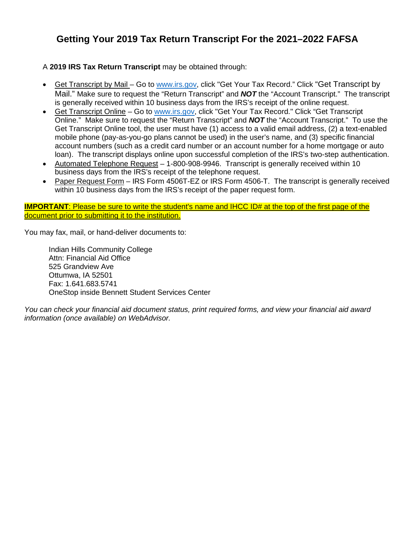# **Getting Your 2019 Tax Return Transcript For the 2021–2022 FAFSA**

# A **2019 IRS Tax Return Transcript** may be obtained through:

- Get Transcript by Mail Go to [www.irs.gov,](http://www.irs.gov/) click "Get Your Tax Record." Click "Get Transcript by Mail." Make sure to request the "Return Transcript" and *NOT* the "Account Transcript." The transcript is generally received within 10 business days from the IRS's receipt of the online request.
- Get Transcript Online Go to [www.irs.gov,](http://www.irs.gov/) click "Get Your Tax Record." Click "Get Transcript Online." Make sure to request the "Return Transcript" and *NOT* the "Account Transcript." To use the Get Transcript Online tool, the user must have (1) access to a valid email address, (2) a text-enabled mobile phone (pay-as-you-go plans cannot be used) in the user's name, and (3) specific financial account numbers (such as a credit card number or an account number for a home mortgage or auto loan). The transcript displays online upon successful completion of the IRS's two-step authentication.
- Automated Telephone Request 1-800-908-9946. Transcript is generally received within 10 business days from the IRS's receipt of the telephone request.
- Paper Request Form IRS Form 4506T-EZ or IRS Form 4506-T. The transcript is generally received within 10 business days from the IRS's receipt of the paper request form.

**IMPORTANT:** Please be sure to write the student's name and IHCC ID# at the top of the first page of the document prior to submitting it to the institution.

You may fax, mail, or hand-deliver documents to:

Indian Hills Community College Attn: Financial Aid Office 525 Grandview Ave Ottumwa, IA 52501 Fax: 1.641.683.5741 OneStop inside Bennett Student Services Center

*You can check your financial aid document status, print required forms, and view your financial aid award information (once available) on WebAdvisor.*